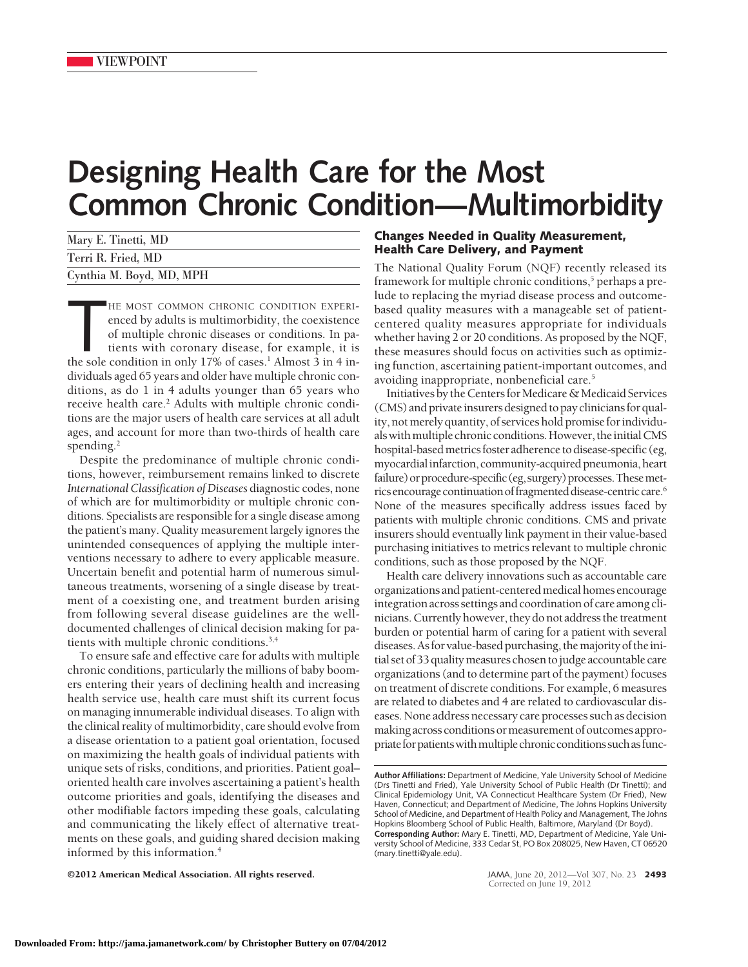## **Designing Health Care for the Most Common Chronic Condition—Multimorbidity**

| Mary E. Tinetti, MD      |  |
|--------------------------|--|
| Terri R. Fried, MD       |  |
| Cynthia M. Boyd, MD, MPH |  |

HE MOST COMMON CHRONIC CONDITION EXPERI-<br>enced by adults is multimorbidity, the coexistence<br>of multiple chronic diseases or conditions. In pa-<br>tients with coronary disease, for example, it is<br>the sole condition in only 17% HE MOST COMMON CHRONIC CONDITION EXPERIenced by adults is multimorbidity, the coexistence of multiple chronic diseases or conditions. In patients with coronary disease, for example, it is dividuals aged 65 years and older have multiple chronic conditions, as do 1 in 4 adults younger than 65 years who receive health care.<sup>2</sup> Adults with multiple chronic conditions are the major users of health care services at all adult ages, and account for more than two-thirds of health care spending. $<sup>2</sup>$ </sup>

Despite the predominance of multiple chronic conditions, however, reimbursement remains linked to discrete *International Classification of Diseases* diagnostic codes, none of which are for multimorbidity or multiple chronic conditions. Specialists are responsible for a single disease among the patient's many. Quality measurement largely ignores the unintended consequences of applying the multiple interventions necessary to adhere to every applicable measure. Uncertain benefit and potential harm of numerous simultaneous treatments, worsening of a single disease by treatment of a coexisting one, and treatment burden arising from following several disease guidelines are the welldocumented challenges of clinical decision making for patients with multiple chronic conditions.3,4

To ensure safe and effective care for adults with multiple chronic conditions, particularly the millions of baby boomers entering their years of declining health and increasing health service use, health care must shift its current focus on managing innumerable individual diseases. To align with the clinical reality of multimorbidity, care should evolve from a disease orientation to a patient goal orientation, focused on maximizing the health goals of individual patients with unique sets of risks, conditions, and priorities. Patient goal– oriented health care involves ascertaining a patient's health outcome priorities and goals, identifying the diseases and other modifiable factors impeding these goals, calculating and communicating the likely effect of alternative treatments on these goals, and guiding shared decision making informed by this information.4

**Changes Needed in Quality Measurement, Health Care Delivery, and Payment**

The National Quality Forum (NQF) recently released its framework for multiple chronic conditions,<sup>5</sup> perhaps a prelude to replacing the myriad disease process and outcomebased quality measures with a manageable set of patientcentered quality measures appropriate for individuals whether having 2 or 20 conditions. As proposed by the NQF, these measures should focus on activities such as optimizing function, ascertaining patient-important outcomes, and avoiding inappropriate, nonbeneficial care.5

Initiatives by the Centers for Medicare & Medicaid Services (CMS) and private insurers designed to pay clinicians for quality, not merely quantity, of services hold promise for individuals with multiple chronic conditions. However, the initial CMS hospital-based metrics foster adherence to disease-specific (eg, myocardialinfarction, community-acquired pneumonia, heart failure) or procedure-specific (eg, surgery) processes. These metrics encourage continuation of fragmented disease-centric care.<sup>6</sup> None of the measures specifically address issues faced by patients with multiple chronic conditions. CMS and private insurers should eventually link payment in their value-based purchasing initiatives to metrics relevant to multiple chronic conditions, such as those proposed by the NQF.

Health care delivery innovations such as accountable care organizations and patient-centeredmedical homes encourage integration across settings and coordination of care among clinicians.Currently however, they do not address the treatment burden or potential harm of caring for a patient with several diseases. As for value-based purchasing, the majority of the initial set of 33 qualitymeasures chosen tojudge accountable care organizations (and to determine part of the payment) focuses on treatment of discrete conditions. For example, 6 measures are related to diabetes and 4 are related to cardiovascular diseases. None address necessary care processes such as decision making across conditions or measurement of outcomes appropriate for patients with multiple chronic conditions such as func-

©2012 American Medical Association. All rights reserved. JAMA, June 20, 2012—Vol 307, No. 23 **2493**

**Author Affiliations:** Department of Medicine, Yale University School of Medicine (Drs Tinetti and Fried), Yale University School of Public Health (Dr Tinetti); and Clinical Epidemiology Unit, VA Connecticut Healthcare System (Dr Fried), New Haven, Connecticut; and Department of Medicine, The Johns Hopkins University School of Medicine, and Department of Health Policy and Management, The Johns Hopkins Bloomberg School of Public Health, Baltimore, Maryland (Dr Boyd). **Corresponding Author:** Mary E. Tinetti, MD, Department of Medicine, Yale University School of Medicine, 333 Cedar St, PO Box 208025, New Haven, CT 06520 (mary.tinetti@yale.edu).